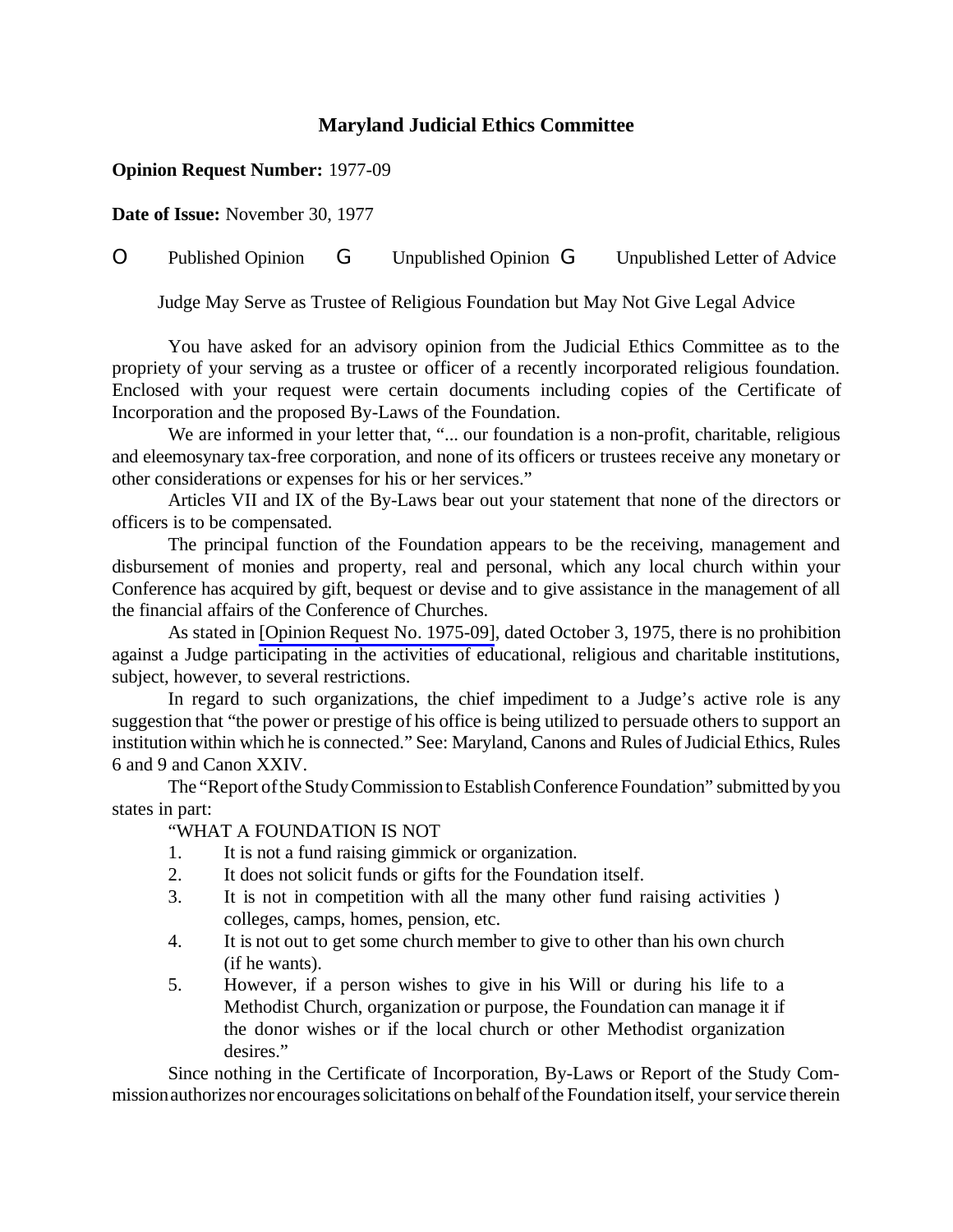# **Maryland Judicial Ethics Committee**

## **Opinion Request Number:** 1977-09

**Date of Issue:** November 30, 1977

# O Published Opinion G Unpublished Opinion G Unpublished Letter of Advice

Judge May Serve as Trustee of Religious Foundation but May Not Give Legal Advice

You have asked for an advisory opinion from the Judicial Ethics Committee as to the propriety of your serving as a trustee or officer of a recently incorporated religious foundation. Enclosed with your request were certain documents including copies of the Certificate of Incorporation and the proposed By-Laws of the Foundation.

We are informed in your letter that, "... our foundation is a non-profit, charitable, religious and eleemosynary tax-free corporation, and none of its officers or trustees receive any monetary or other considerations or expenses for his or her services."

Articles VII and IX of the By-Laws bear out your statement that none of the directors or officers is to be compensated.

The principal function of the Foundation appears to be the receiving, management and disbursement of monies and property, real and personal, which any local church within your Conference has acquired by gift, bequest or devise and to give assistance in the management of all the financial affairs of the Conference of Churches.

As stated in [Opinion Request No. [1975-09\]](http://www.mdcourts.gov/ethics/pdfs/1975-09.pdf), dated October 3, 1975, there is no prohibition against a Judge participating in the activities of educational, religious and charitable institutions, subject, however, to several restrictions.

In regard to such organizations, the chief impediment to a Judge's active role is any suggestion that "the power or prestige of his office is being utilized to persuade others to support an institution within which he is connected." See: Maryland, Canons and Rules of Judicial Ethics, Rules 6 and 9 and Canon XXIV.

The "Report ofthe StudyCommissionto EstablishConference Foundation" submitted byyou states in part:

## "WHAT A FOUNDATION IS NOT

- 1. It is not a fund raising gimmick or organization.
- 2. It does not solicit funds or gifts for the Foundation itself.
- 3. It is not in competition with all the many other fund raising activities ) colleges, camps, homes, pension, etc.
- 4. It is not out to get some church member to give to other than his own church (if he wants).
- 5. However, if a person wishes to give in his Will or during his life to a Methodist Church, organization or purpose, the Foundation can manage it if the donor wishes or if the local church or other Methodist organization desires."

Since nothing in the Certificate of Incorporation, By-Laws or Report of the Study Commission authorizes nor encourages solicitations on behalf of the Foundation itself, your service therein